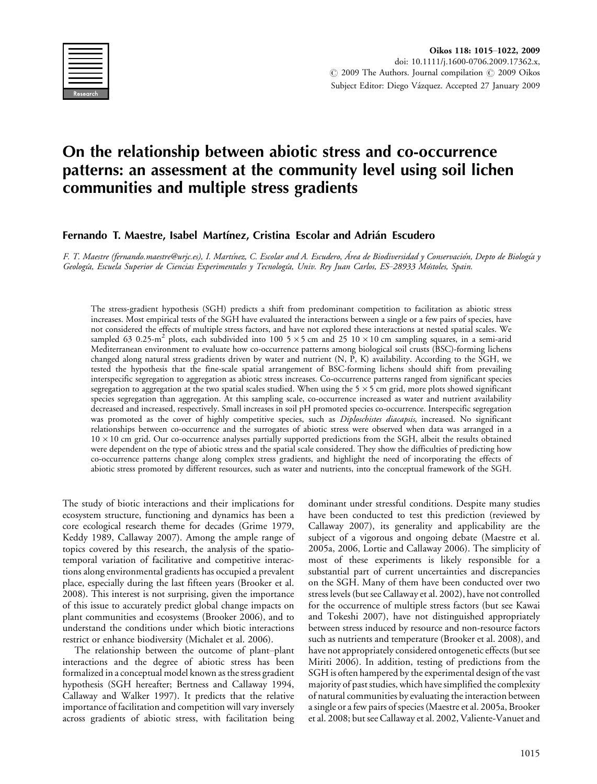

# On the relationship between abiotic stress and co-occurrence patterns: an assessment at the community level using soil lichen communities and multiple stress gradients

## Fernando T. Maestre, Isabel Martínez, Cristina Escolar and Adrián Escudero

F. T. Maestre (fernando.maestre@urjc.es), I. Martínez, C. Escolar and A. Escudero, Área de Biodiversidad y Conservación, Depto de Biología y Geología, Escuela Superior de Ciencias Experimentales y Tecnología, Univ. Rey Juan Carlos, ES-28933 Móstoles, Spain.

The stress-gradient hypothesis (SGH) predicts a shift from predominant competition to facilitation as abiotic stress increases. Most empirical tests of the SGH have evaluated the interactions between a single or a few pairs of species, have not considered the effects of multiple stress factors, and have not explored these interactions at nested spatial scales. We sampled 63 0.25-m<sup>2</sup> plots, each subdivided into 100 5  $\times$  5 cm and 25 10  $\times$  10 cm sampling squares, in a semi-arid Mediterranean environment to evaluate how co-occurrence patterns among biological soil crusts (BSC)-forming lichens changed along natural stress gradients driven by water and nutrient (N, P, K) availability. According to the SGH, we tested the hypothesis that the fine-scale spatial arrangement of BSC-forming lichens should shift from prevailing interspecific segregation to aggregation as abiotic stress increases. Co-occurrence patterns ranged from significant species segregation to aggregation at the two spatial scales studied. When using the 5  $\times$  5 cm grid, more plots showed significant species segregation than aggregation. At this sampling scale, co-occurrence increased as water and nutrient availability decreased and increased, respectively. Small increases in soil pH promoted species co-occurrence. Interspecific segregation was promoted as the cover of highly competitive species, such as Diploschistes diacapsis, increased. No significant relationships between co-occurrence and the surrogates of abiotic stress were observed when data was arranged in a  $10 \times 10$  cm grid. Our co-occurrence analyses partially supported predictions from the SGH, albeit the results obtained were dependent on the type of abiotic stress and the spatial scale considered. They show the difficulties of predicting how co-occurrence patterns change along complex stress gradients, and highlight the need of incorporating the effects of abiotic stress promoted by different resources, such as water and nutrients, into the conceptual framework of the SGH.

The study of biotic interactions and their implications for ecosystem structure, functioning and dynamics has been a core ecological research theme for decades (Grime 1979, Keddy 1989, Callaway 2007). Among the ample range of topics covered by this research, the analysis of the spatiotemporal variation of facilitative and competitive interactions along environmental gradients has occupied a prevalent place, especially during the last fifteen years (Brooker et al. 2008). This interest is not surprising, given the importance of this issue to accurately predict global change impacts on plant communities and ecosystems (Brooker 2006), and to understand the conditions under which biotic interactions restrict or enhance biodiversity (Michalet et al. 2006).

The relationship between the outcome of plant-plant interactions and the degree of abiotic stress has been formalized in a conceptual model known as the stress gradient hypothesis (SGH hereafter; Bertness and Callaway 1994, Callaway and Walker 1997). It predicts that the relative importance of facilitation and competition will vary inversely across gradients of abiotic stress, with facilitation being dominant under stressful conditions. Despite many studies have been conducted to test this prediction (reviewed by Callaway 2007), its generality and applicability are the subject of a vigorous and ongoing debate (Maestre et al. 2005a, 2006, Lortie and Callaway 2006). The simplicity of most of these experiments is likely responsible for a substantial part of current uncertainties and discrepancies on the SGH. Many of them have been conducted over two stress levels (but see Callaway et al. 2002), have not controlled for the occurrence of multiple stress factors (but see Kawai and Tokeshi 2007), have not distinguished appropriately between stress induced by resource and non-resource factors such as nutrients and temperature (Brooker et al. 2008), and have not appropriately considered ontogenetic effects (but see Miriti 2006). In addition, testing of predictions from the SGH is often hampered by the experimental design of the vast majority of past studies, which have simplified the complexity of natural communities by evaluating the interaction between a single or a few pairs of species (Maestre et al. 2005a, Brooker et al. 2008; but see Callaway et al. 2002, Valiente-Vanuet and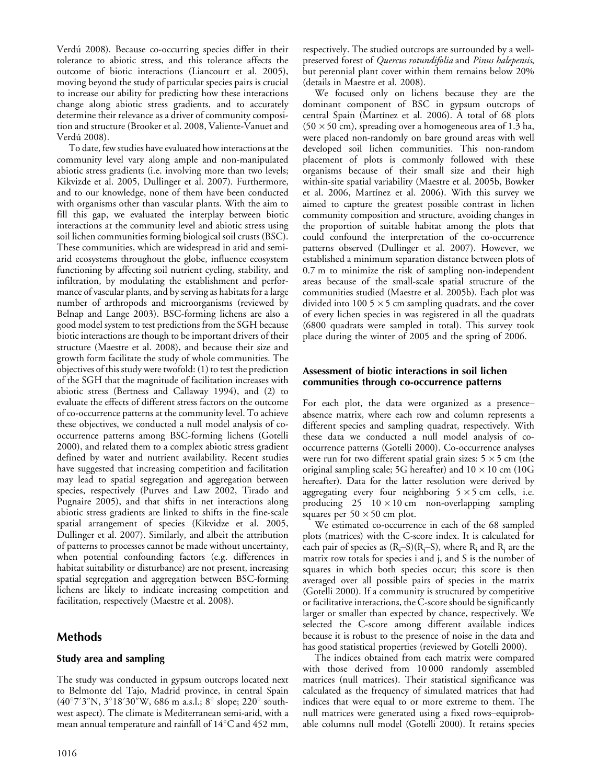Verdú 2008). Because co-occurring species differ in their tolerance to abiotic stress, and this tolerance affects the outcome of biotic interactions (Liancourt et al. 2005), moving beyond the study of particular species pairs is crucial to increase our ability for predicting how these interactions change along abiotic stress gradients, and to accurately determine their relevance as a driver of community composition and structure (Brooker et al. 2008, Valiente-Vanuet and Verdú 2008).

To date, few studies have evaluated how interactions at the community level vary along ample and non-manipulated abiotic stress gradients (i.e. involving more than two levels; Kikvizde et al. 2005, Dullinger et al. 2007). Furthermore, and to our knowledge, none of them have been conducted with organisms other than vascular plants. With the aim to fill this gap, we evaluated the interplay between biotic interactions at the community level and abiotic stress using soil lichen communities forming biological soil crusts (BSC). These communities, which are widespread in arid and semiarid ecosystems throughout the globe, influence ecosystem functioning by affecting soil nutrient cycling, stability, and infiltration, by modulating the establishment and performance of vascular plants, and by serving as habitats for a large number of arthropods and microorganisms (reviewed by Belnap and Lange 2003). BSC-forming lichens are also a good model system to test predictions from the SGH because biotic interactions are though to be important drivers of their structure (Maestre et al. 2008), and because their size and growth form facilitate the study of whole communities. The objectives of this study were twofold: (1) to test the prediction of the SGH that the magnitude of facilitation increases with abiotic stress (Bertness and Callaway 1994), and (2) to evaluate the effects of different stress factors on the outcome of co-occurrence patterns at the community level. To achieve these objectives, we conducted a null model analysis of cooccurrence patterns among BSC-forming lichens (Gotelli 2000), and related them to a complex abiotic stress gradient defined by water and nutrient availability. Recent studies have suggested that increasing competition and facilitation may lead to spatial segregation and aggregation between species, respectively (Purves and Law 2002, Tirado and Pugnaire 2005), and that shifts in net interactions along abiotic stress gradients are linked to shifts in the fine-scale spatial arrangement of species (Kikvidze et al. 2005, Dullinger et al. 2007). Similarly, and albeit the attribution of patterns to processes cannot be made without uncertainty, when potential confounding factors (e.g. differences in habitat suitability or disturbance) are not present, increasing spatial segregation and aggregation between BSC-forming lichens are likely to indicate increasing competition and facilitation, respectively (Maestre et al. 2008).

# Methods

## Study area and sampling

The study was conducted in gypsum outcrops located next to Belmonte del Tajo, Madrid province, in central Spain (40°7'3"N, 3°18'30"W, 686 m a.s.l.; 8° slope; 220° southwest aspect). The climate is Mediterranean semi-arid, with a mean annual temperature and rainfall of  $14^{\circ}$ C and  $452$  mm,

respectively. The studied outcrops are surrounded by a wellpreserved forest of Quercus rotundifolia and Pinus halepensis, but perennial plant cover within them remains below 20% (details in Maestre et al. 2008).

We focused only on lichens because they are the dominant component of BSC in gypsum outcrops of central Spain (Martínez et al. 2006). A total of 68 plots  $(50 \times 50 \text{ cm})$ , spreading over a homogeneous area of 1.3 ha, were placed non-randomly on bare ground areas with well developed soil lichen communities. This non-random placement of plots is commonly followed with these organisms because of their small size and their high within-site spatial variability (Maestre et al. 2005b, Bowker et al. 2006, Martínez et al. 2006). With this survey we aimed to capture the greatest possible contrast in lichen community composition and structure, avoiding changes in the proportion of suitable habitat among the plots that could confound the interpretation of the co-occurrence patterns observed (Dullinger et al. 2007). However, we established a minimum separation distance between plots of 0.7 m to minimize the risk of sampling non-independent areas because of the small-scale spatial structure of the communities studied (Maestre et al. 2005b). Each plot was divided into 100 5  $\times$  5 cm sampling quadrats, and the cover of every lichen species in was registered in all the quadrats (6800 quadrats were sampled in total). This survey took place during the winter of 2005 and the spring of 2006.

## Assessment of biotic interactions in soil lichen communities through co-occurrence patterns

For each plot, the data were organized as a presence absence matrix, where each row and column represents a different species and sampling quadrat, respectively. With these data we conducted a null model analysis of cooccurrence patterns (Gotelli 2000). Co-occurrence analyses were run for two different spatial grain sizes: 5  $\times$  5 cm (the original sampling scale; 5G hereafter) and  $10 \times 10$  cm (10G hereafter). Data for the latter resolution were derived by aggregating every four neighboring  $5 \times 5$  cm cells, i.e. producing  $25 \quad 10 \times 10$  cm non-overlapping sampling squares per  $50 \times 50$  cm plot.

We estimated co-occurrence in each of the 68 sampled plots (matrices) with the C-score index. It is calculated for each pair of species as (R<sub>i</sub>–S)(R<sub>j</sub>–S), where R<sub>i</sub> and R<sub>j</sub> are the matrix row totals for species i and j, and S is the number of squares in which both species occur; this score is then averaged over all possible pairs of species in the matrix (Gotelli 2000). If a community is structured by competitive or facilitative interactions, the C-score should be significantly larger or smaller than expected by chance, respectively. We selected the C-score among different available indices because it is robust to the presence of noise in the data and has good statistical properties (reviewed by Gotelli 2000).

The indices obtained from each matrix were compared with those derived from 10 000 randomly assembled matrices (null matrices). Their statistical significance was calculated as the frequency of simulated matrices that had indices that were equal to or more extreme to them. The null matrices were generated using a fixed rows-equiprobable columns null model (Gotelli 2000). It retains species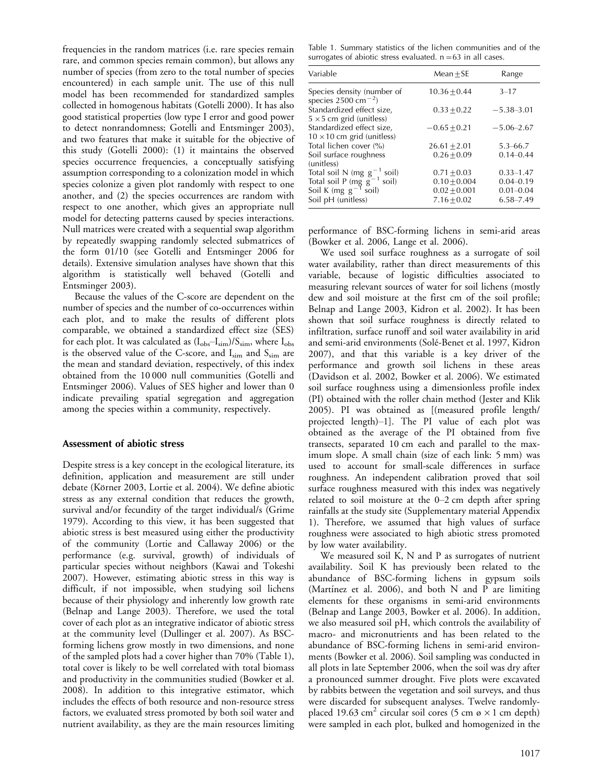frequencies in the random matrices (i.e. rare species remain rare, and common species remain common), but allows any number of species (from zero to the total number of species encountered) in each sample unit. The use of this null model has been recommended for standardized samples collected in homogenous habitats (Gotelli 2000). It has also good statistical properties (low type I error and good power to detect nonrandomness; Gotelli and Entsminger 2003), and two features that make it suitable for the objective of this study (Gotelli 2000): (1) it maintains the observed species occurrence frequencies, a conceptually satisfying assumption corresponding to a colonization model in which species colonize a given plot randomly with respect to one another, and (2) the species occurrences are random with respect to one another, which gives an appropriate null model for detecting patterns caused by species interactions. Null matrices were created with a sequential swap algorithm by repeatedly swapping randomly selected submatrices of the form 01/10 (see Gotelli and Entsminger 2006 for details). Extensive simulation analyses have shown that this algorithm is statistically well behaved (Gotelli and Entsminger 2003).

Because the values of the C-score are dependent on the number of species and the number of co-occurrences within each plot, and to make the results of different plots comparable, we obtained a standardized effect size (SES) for each plot. It was calculated as  $(I_{obs} - I_{sim})/S_{sim}$ , where  $I_{obs}$ is the observed value of the C-score, and  $I_{sim}$  and  $S_{sim}$  are the mean and standard deviation, respectively, of this index obtained from the 10 000 null communities (Gotelli and Entsminger 2006). Values of SES higher and lower than 0 indicate prevailing spatial segregation and aggregation among the species within a community, respectively.

### Assessment of abiotic stress

Despite stress is a key concept in the ecological literature, its definition, application and measurement are still under debate (Körner 2003, Lortie et al. 2004). We define abiotic stress as any external condition that reduces the growth, survival and/or fecundity of the target individual/s (Grime 1979). According to this view, it has been suggested that abiotic stress is best measured using either the productivity of the community (Lortie and Callaway 2006) or the performance (e.g. survival, growth) of individuals of particular species without neighbors (Kawai and Tokeshi 2007). However, estimating abiotic stress in this way is difficult, if not impossible, when studying soil lichens because of their physiology and inherently low growth rate (Belnap and Lange 2003). Therefore, we used the total cover of each plot as an integrative indicator of abiotic stress at the community level (Dullinger et al. 2007). As BSCforming lichens grow mostly in two dimensions, and none of the sampled plots had a cover higher than 70% (Table 1), total cover is likely to be well correlated with total biomass and productivity in the communities studied (Bowker et al. 2008). In addition to this integrative estimator, which includes the effects of both resource and non-resource stress factors, we evaluated stress promoted by both soil water and nutrient availability, as they are the main resources limiting

Table 1. Summary statistics of the lichen communities and of the surrogates of abiotic stress evaluated.  $n=63$  in all cases.

| Variable                                                                                        | $Mean + SE$      | Range          |
|-------------------------------------------------------------------------------------------------|------------------|----------------|
| Species density (number of<br>species $2500 \text{ cm}^{-2}$ )                                  | $10.36 + 0.44$   | $3 - 17$       |
| Standardized effect size,<br>$5 \times 5$ cm grid (unitless)                                    | $0.33 + 0.22$    | $-5.38 - 3.01$ |
| Standardized effect size,<br>$10 \times 10$ cm grid (unitless)                                  | $-0.65 + 0.21$   | $-5.06 - 2.67$ |
| Total lichen cover (%)                                                                          | $26.61 \pm 2.01$ | $5.3 - 66.7$   |
| Soil surface roughness<br>(unitless)                                                            | $0.26 + 0.09$    | $0.14 - 0.44$  |
| Total soil N (mg $g^{-1}$ soil)<br>Total soil P (mg $g^{-1}$ soil)<br>Soil K (mg $g^{-1}$ soil) | $0.71 + 0.03$    | $0.33 - 1.47$  |
|                                                                                                 | $0.10 + 0.004$   | $0.04 - 0.19$  |
|                                                                                                 | $0.02 + 0.001$   | $0.01 - 0.04$  |
| Soil pH (unitless)                                                                              | $7.16 + 0.02$    | $6.58 - 7.49$  |

performance of BSC-forming lichens in semi-arid areas (Bowker et al. 2006, Lange et al. 2006).

We used soil surface roughness as a surrogate of soil water availability, rather than direct measurements of this variable, because of logistic difficulties associated to measuring relevant sources of water for soil lichens (mostly dew and soil moisture at the first cm of the soil profile; Belnap and Lange 2003, Kidron et al. 2002). It has been shown that soil surface roughness is directly related to infiltration, surface runoff and soil water availability in arid and semi-arid environments (Solé-Benet et al. 1997, Kidron 2007), and that this variable is a key driver of the performance and growth soil lichens in these areas (Davidson et al. 2002, Bowker et al. 2006). We estimated soil surface roughness using a dimensionless profile index (PI) obtained with the roller chain method (Jester and Klik 2005). PI was obtained as [(measured profile length/ projected length $)-1$ ]. The PI value of each plot was obtained as the average of the PI obtained from five transects, separated 10 cm each and parallel to the maximum slope. A small chain (size of each link: 5 mm) was used to account for small-scale differences in surface roughness. An independent calibration proved that soil surface roughness measured with this index was negatively related to soil moisture at the  $0-2$  cm depth after spring rainfalls at the study site (Supplementary material Appendix 1). Therefore, we assumed that high values of surface roughness were associated to high abiotic stress promoted by low water availability.

We measured soil K, N and P as surrogates of nutrient availability. Soil K has previously been related to the abundance of BSC-forming lichens in gypsum soils (Martínez et al. 2006), and both N and P are limiting elements for these organisms in semi-arid environments (Belnap and Lange 2003, Bowker et al. 2006). In addition, we also measured soil pH, which controls the availability of macro- and micronutrients and has been related to the abundance of BSC-forming lichens in semi-arid environments (Bowker et al. 2006). Soil sampling was conducted in all plots in late September 2006, when the soil was dry after a pronounced summer drought. Five plots were excavated by rabbits between the vegetation and soil surveys, and thus were discarded for subsequent analyses. Twelve randomlyplaced 19.63 cm<sup>2</sup> circular soil cores (5 cm ø  $\times$ 1 cm depth) were sampled in each plot, bulked and homogenized in the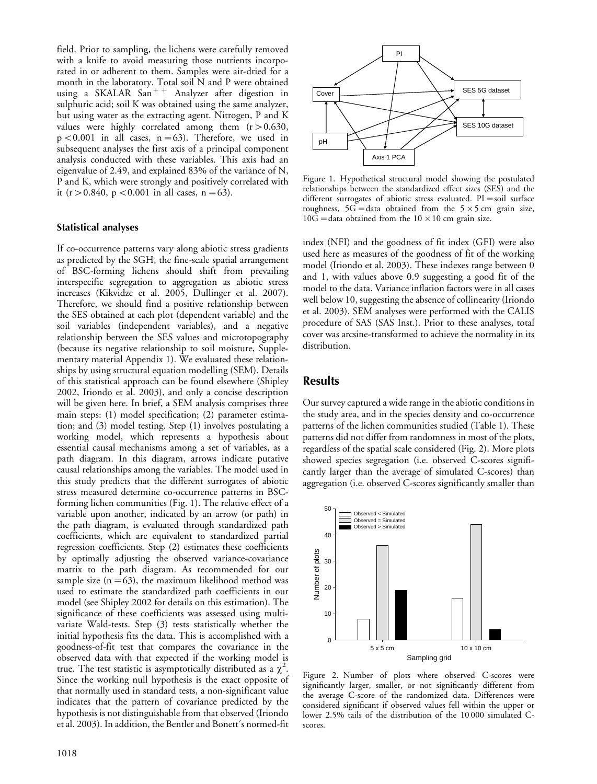field. Prior to sampling, the lichens were carefully removed with a knife to avoid measuring those nutrients incorporated in or adherent to them. Samples were air-dried for a month in the laboratory. Total soil N and P were obtained using a SKALAR  $San + +$  Analyzer after digestion in sulphuric acid; soil K was obtained using the same analyzer, but using water as the extracting agent. Nitrogen, P and K values were highly correlated among them  $(r > 0.630,$  $p < 0.001$  in all cases,  $n = 63$ ). Therefore, we used in subsequent analyses the first axis of a principal component analysis conducted with these variables. This axis had an eigenvalue of 2.49, and explained 83% of the variance of N, P and K, which were strongly and positively correlated with it (r > 0.840, p < 0.001 in all cases, n = 63).

#### Statistical analyses

If co-occurrence patterns vary along abiotic stress gradients as predicted by the SGH, the fine-scale spatial arrangement of BSC-forming lichens should shift from prevailing interspecific segregation to aggregation as abiotic stress increases (Kikvidze et al. 2005, Dullinger et al. 2007). Therefore, we should find a positive relationship between the SES obtained at each plot (dependent variable) and the soil variables (independent variables), and a negative relationship between the SES values and microtopography (because its negative relationship to soil moisture, Supplementary material Appendix 1). We evaluated these relationships by using structural equation modelling (SEM). Details of this statistical approach can be found elsewhere (Shipley 2002, Iriondo et al. 2003), and only a concise description will be given here. In brief, a SEM analysis comprises three main steps: (1) model specification; (2) parameter estimation; and (3) model testing. Step (1) involves postulating a working model, which represents a hypothesis about essential causal mechanisms among a set of variables, as a path diagram. In this diagram, arrows indicate putative causal relationships among the variables. The model used in this study predicts that the different surrogates of abiotic stress measured determine co-occurrence patterns in BSCforming lichen communities (Fig. 1). The relative effect of a variable upon another, indicated by an arrow (or path) in the path diagram, is evaluated through standardized path coefficients, which are equivalent to standardized partial regression coefficients. Step (2) estimates these coefficients by optimally adjusting the observed variance-covariance matrix to the path diagram. As recommended for our sample size  $(n=63)$ , the maximum likelihood method was used to estimate the standardized path coefficients in our model (see Shipley 2002 for details on this estimation). The significance of these coefficients was assessed using multivariate Wald-tests. Step (3) tests statistically whether the initial hypothesis fits the data. This is accomplished with a goodness-of-fit test that compares the covariance in the observed data with that expected if the working model is true. The test statistic is asymptotically distributed as a  $\chi^2$ . Since the working null hypothesis is the exact opposite of that normally used in standard tests, a non-significant value indicates that the pattern of covariance predicted by the hypothesis is not distinguishable from that observed (Iriondo et al. 2003). In addition, the Bentler and Bonett's normed-fit



Figure 1. Hypothetical structural model showing the postulated relationships between the standardized effect sizes (SES) and the different surrogates of abiotic stress evaluated.  $PI = soil$  surface roughness,  $5G =$ data obtained from the  $5 \times 5$  cm grain size,  $10G =$ data obtained from the  $10 \times 10$  cm grain size.

index (NFI) and the goodness of fit index (GFI) were also used here as measures of the goodness of fit of the working model (Iriondo et al. 2003). These indexes range between 0 and 1, with values above 0.9 suggesting a good fit of the model to the data. Variance inflation factors were in all cases well below 10, suggesting the absence of collinearity (Iriondo et al. 2003). SEM analyses were performed with the CALIS procedure of SAS (SAS Inst.). Prior to these analyses, total cover was arcsine-transformed to achieve the normality in its distribution.

## Results

Our survey captured a wide range in the abiotic conditions in the study area, and in the species density and co-occurrence patterns of the lichen communities studied (Table 1). These patterns did not differ from randomness in most of the plots, regardless of the spatial scale considered (Fig. 2). More plots showed species segregation (i.e. observed C-scores significantly larger than the average of simulated C-scores) than aggregation (i.e. observed C-scores significantly smaller than



Figure 2. Number of plots where observed C-scores were significantly larger, smaller, or not significantly different from the average C-score of the randomized data. Differences were considered significant if observed values fell within the upper or lower 2.5% tails of the distribution of the 10 000 simulated Cscores.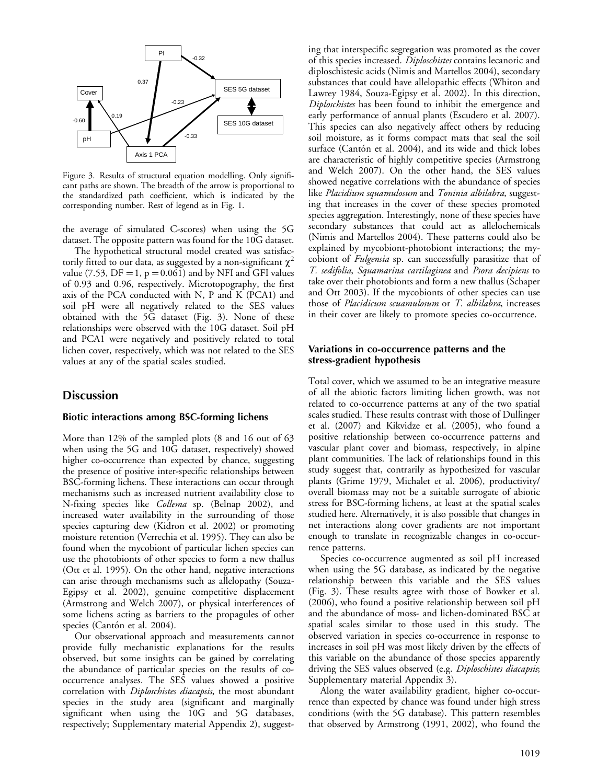

Figure 3. Results of structural equation modelling. Only significant paths are shown. The breadth of the arrow is proportional to the standardized path coefficient, which is indicated by the corresponding number. Rest of legend as in Fig. 1.

the average of simulated C-scores) when using the 5G dataset. The opposite pattern was found for the 10G dataset.

The hypothetical structural model created was satisfactorily fitted to our data, as suggested by a non-significant  $\chi^2$ value (7.53,  $DF = 1$ ,  $p = 0.061$ ) and by NFI and GFI values of 0.93 and 0.96, respectively. Microtopography, the first axis of the PCA conducted with N, P and K (PCA1) and soil pH were all negatively related to the SES values obtained with the 5G dataset (Fig. 3). None of these relationships were observed with the 10G dataset. Soil pH and PCA1 were negatively and positively related to total lichen cover, respectively, which was not related to the SES values at any of the spatial scales studied.

## **Discussion**

#### Biotic interactions among BSC-forming lichens

More than 12% of the sampled plots (8 and 16 out of 63 when using the 5G and 10G dataset, respectively) showed higher co-occurrence than expected by chance, suggesting the presence of positive inter-specific relationships between BSC-forming lichens. These interactions can occur through mechanisms such as increased nutrient availability close to N-fixing species like Collema sp. (Belnap 2002), and increased water availability in the surrounding of those species capturing dew (Kidron et al. 2002) or promoting moisture retention (Verrechia et al. 1995). They can also be found when the mycobiont of particular lichen species can use the photobionts of other species to form a new thallus (Ott et al. 1995). On the other hand, negative interactions can arise through mechanisms such as allelopathy (Souza-Egipsy et al. 2002), genuine competitive displacement (Armstrong and Welch 2007), or physical interferences of some lichens acting as barriers to the propagules of other species (Cantón et al. 2004).

Our observational approach and measurements cannot provide fully mechanistic explanations for the results observed, but some insights can be gained by correlating the abundance of particular species on the results of cooccurrence analyses. The SES values showed a positive correlation with *Diploschistes diacapsis*, the most abundant species in the study area (significant and marginally significant when using the 10G and 5G databases, respectively; Supplementary material Appendix 2), suggesting that interspecific segregation was promoted as the cover of this species increased. Diploschistes contains lecanoric and diploschistesic acids (Nimis and Martellos 2004), secondary substances that could have allelopathic effects (Whiton and Lawrey 1984, Souza-Egipsy et al. 2002). In this direction, Diploschistes has been found to inhibit the emergence and early performance of annual plants (Escudero et al. 2007). This species can also negatively affect others by reducing soil moisture, as it forms compact mats that seal the soil surface (Cantón et al. 2004), and its wide and thick lobes are characteristic of highly competitive species (Armstrong and Welch 2007). On the other hand, the SES values showed negative correlations with the abundance of species like Placidium squamulosum and Toninia albilabra, suggesting that increases in the cover of these species promoted species aggregation. Interestingly, none of these species have secondary substances that could act as allelochemicals (Nimis and Martellos 2004). These patterns could also be explained by mycobiont-photobiont interactions; the mycobiont of Fulgensia sp. can successfully parasitize that of T. sedifolia, Squamarina cartilaginea and Psora decipiens to take over their photobionts and form a new thallus (Schaper and Ott 2003). If the mycobionts of other species can use those of Placidicum scuamulosum or T. albilabra, increases in their cover are likely to promote species co-occurrence.

#### Variations in co-occurrence patterns and the stress-gradient hypothesis

Total cover, which we assumed to be an integrative measure of all the abiotic factors limiting lichen growth, was not related to co-occurrence patterns at any of the two spatial scales studied. These results contrast with those of Dullinger et al. (2007) and Kikvidze et al. (2005), who found a positive relationship between co-occurrence patterns and vascular plant cover and biomass, respectively, in alpine plant communities. The lack of relationships found in this study suggest that, contrarily as hypothesized for vascular plants (Grime 1979, Michalet et al. 2006), productivity/ overall biomass may not be a suitable surrogate of abiotic stress for BSC-forming lichens, at least at the spatial scales studied here. Alternatively, it is also possible that changes in net interactions along cover gradients are not important enough to translate in recognizable changes in co-occurrence patterns.

Species co-occurrence augmented as soil pH increased when using the 5G database, as indicated by the negative relationship between this variable and the SES values (Fig. 3). These results agree with those of Bowker et al. (2006), who found a positive relationship between soil pH and the abundance of moss- and lichen-dominated BSC at spatial scales similar to those used in this study. The observed variation in species co-occurrence in response to increases in soil pH was most likely driven by the effects of this variable on the abundance of those species apparently driving the SES values observed (e.g. Diploschistes diacapsis; Supplementary material Appendix 3).

Along the water availability gradient, higher co-occurrence than expected by chance was found under high stress conditions (with the 5G database). This pattern resembles that observed by Armstrong (1991, 2002), who found the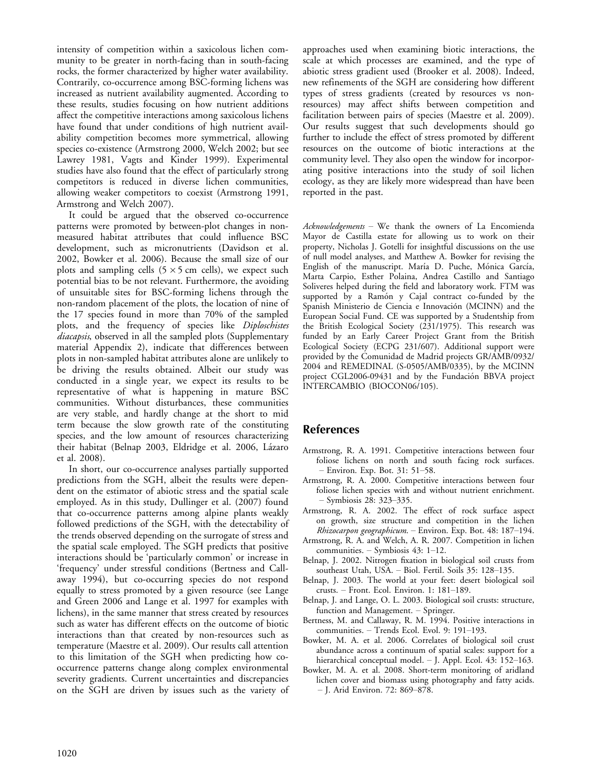intensity of competition within a saxicolous lichen community to be greater in north-facing than in south-facing rocks, the former characterized by higher water availability. Contrarily, co-occurrence among BSC-forming lichens was increased as nutrient availability augmented. According to these results, studies focusing on how nutrient additions affect the competitive interactions among saxicolous lichens have found that under conditions of high nutrient availability competition becomes more symmetrical, allowing species co-existence (Armstrong 2000, Welch 2002; but see Lawrey 1981, Vagts and Kinder 1999). Experimental studies have also found that the effect of particularly strong competitors is reduced in diverse lichen communities, allowing weaker competitors to coexist (Armstrong 1991, Armstrong and Welch 2007).

It could be argued that the observed co-occurrence patterns were promoted by between-plot changes in nonmeasured habitat attributes that could influence BSC development, such as micronutrients (Davidson et al. 2002, Bowker et al. 2006). Because the small size of our plots and sampling cells  $(5 \times 5 \text{ cm} \text{ cells})$ , we expect such potential bias to be not relevant. Furthermore, the avoiding of unsuitable sites for BSC-forming lichens through the non-random placement of the plots, the location of nine of the 17 species found in more than 70% of the sampled plots, and the frequency of species like Diploschistes diacapsis, observed in all the sampled plots (Supplementary material Appendix 2), indicate that differences between plots in non-sampled habitat attributes alone are unlikely to be driving the results obtained. Albeit our study was conducted in a single year, we expect its results to be representative of what is happening in mature BSC communities. Without disturbances, these communities are very stable, and hardly change at the short to mid term because the slow growth rate of the constituting species, and the low amount of resources characterizing their habitat (Belnap 2003, Eldridge et al. 2006, Lázaro et al. 2008).

In short, our co-occurrence analyses partially supported predictions from the SGH, albeit the results were dependent on the estimator of abiotic stress and the spatial scale employed. As in this study, Dullinger et al. (2007) found that co-occurrence patterns among alpine plants weakly followed predictions of the SGH, with the detectability of the trends observed depending on the surrogate of stress and the spatial scale employed. The SGH predicts that positive interactions should be 'particularly common' or increase in 'frequency' under stressful conditions (Bertness and Callaway 1994), but co-occurring species do not respond equally to stress promoted by a given resource (see Lange and Green 2006 and Lange et al. 1997 for examples with lichens), in the same manner that stress created by resources such as water has different effects on the outcome of biotic interactions than that created by non-resources such as temperature (Maestre et al. 2009). Our results call attention to this limitation of the SGH when predicting how cooccurrence patterns change along complex environmental severity gradients. Current uncertainties and discrepancies on the SGH are driven by issues such as the variety of

approaches used when examining biotic interactions, the scale at which processes are examined, and the type of abiotic stress gradient used (Brooker et al. 2008). Indeed, new refinements of the SGH are considering how different types of stress gradients (created by resources vs nonresources) may affect shifts between competition and facilitation between pairs of species (Maestre et al. 2009). Our results suggest that such developments should go further to include the effect of stress promoted by different resources on the outcome of biotic interactions at the community level. They also open the window for incorporating positive interactions into the study of soil lichen ecology, as they are likely more widespread than have been reported in the past.

Acknowledgements - We thank the owners of La Encomienda Mayor de Castilla estate for allowing us to work on their property, Nicholas J. Gotelli for insightful discussions on the use of null model analyses, and Matthew A. Bowker for revising the English of the manuscript. María D. Puche, Mónica García, Marta Carpio, Esther Polaina, Andrea Castillo and Santiago Soliveres helped during the field and laboratory work. FTM was supported by a Ramón y Cajal contract co-funded by the Spanish Ministerio de Ciencia e Innovación (MCINN) and the European Social Fund. CE was supported by a Studentship from the British Ecological Society (231/1975). This research was funded by an Early Career Project Grant from the British Ecological Society (ECPG 231/607). Additional support were provided by the Comunidad de Madrid projects GR/AMB/0932/ 2004 and REMEDINAL (S-0505/AMB/0335), by the MCINN project CGL2006-09431 and by the Fundación BBVA project INTERCAMBIO (BIOCON06/105).

# References

- Armstrong, R. A. 1991. Competitive interactions between four foliose lichens on north and south facing rock surfaces. - Environ. Exp. Bot. 31: 51-58.
- Armstrong, R. A. 2000. Competitive interactions between four foliose lichen species with and without nutrient enrichment. – Symbiosis 28: 323–335.
- Armstrong, R. A. 2002. The effect of rock surface aspect on growth, size structure and competition in the lichen Rhizocarpon geographicum. - Environ. Exp. Bot. 48: 187-194.
- Armstrong, R. A. and Welch, A. R. 2007. Competition in lichen communities.  $-$  Symbiosis 43: 1–12.
- Belnap, J. 2002. Nitrogen fixation in biological soil crusts from southeast Utah, USA. - Biol. Fertil. Soils 35: 128-135.
- Belnap, J. 2003. The world at your feet: desert biological soil crusts. - Front. Ecol. Environ. 1: 181-189.
- Belnap, J. and Lange, O. L. 2003. Biological soil crusts: structure, function and Management. – Springer.
- Bertness, M. and Callaway, R. M. 1994. Positive interactions in  $communties. - Trends Ecol. Evol. 9: 191–193.$
- Bowker, M. A. et al. 2006. Correlates of biological soil crust abundance across a continuum of spatial scales: support for a hierarchical conceptual model.  $-$  J. Appl. Ecol. 43: 152–163.
- Bowker, M. A. et al. 2008. Short-term monitoring of aridland lichen cover and biomass using photography and fatty acids. - J. Arid Environ. 72: 869-878.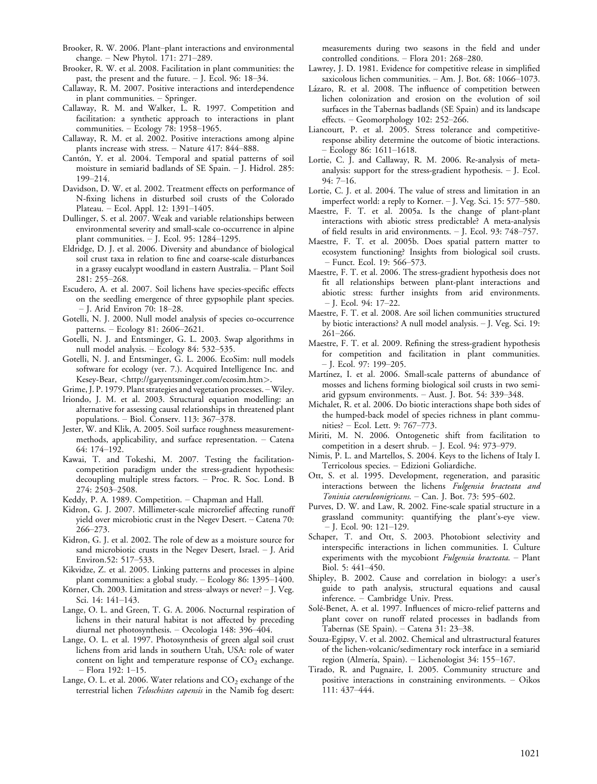- Brooker, R. W. 2006. Plant-plant interactions and environmental change.  $-$  New Phytol. 171: 271–289.
- Brooker, R. W. et al. 2008. Facilitation in plant communities: the past, the present and the future.  $-$  J. Ecol. 96: 18-34.
- Callaway, R. M. 2007. Positive interactions and interdependence in plant communities.  $-$  Springer.
- Callaway, R. M. and Walker, L. R. 1997. Competition and facilitation: a synthetic approach to interactions in plant communities. - Ecology 78: 1958-1965.
- Callaway, R. M. et al. 2002. Positive interactions among alpine plants increase with stress.  $-$  Nature 417: 844-888.
- Cantón, Y. et al. 2004. Temporal and spatial patterns of soil moisture in semiarid badlands of SE Spain.  $-$  J. Hidrol. 285: 199214.
- Davidson, D. W. et al. 2002. Treatment effects on performance of N-fixing lichens in disturbed soil crusts of the Colorado Plateau. - Ecol. Appl. 12: 1391-1405.
- Dullinger, S. et al. 2007. Weak and variable relationships between environmental severity and small-scale co-occurrence in alpine plant communities. - J. Ecol. 95: 1284-1295.
- Eldridge, D. J. et al. 2006. Diversity and abundance of biological soil crust taxa in relation to fine and coarse-scale disturbances in a grassy eucalypt woodland in eastern Australia. Plant Soil 281: 255-268.
- Escudero, A. et al. 2007. Soil lichens have species-specific effects on the seedling emergence of three gypsophile plant species. - J. Arid Environ 70: 18-28.
- Gotelli, N. J. 2000. Null model analysis of species co-occurrence patterns. - Ecology 81: 2606-2621.
- Gotelli, N. J. and Entsminger, G. L. 2003. Swap algorithms in null model analysis. - Ecology 84: 532-535.
- Gotelli, N. J. and Entsminger, G. L. 2006. EcoSim: null models software for ecology (ver. 7.). Acquired Intelligence Inc. and Kesey-Bear, <<http://garyentsminger.com/ecosim.htm>>.

Grime, J. P. 1979. Plant strategies and vegetation processes. Wiley.

- Iriondo, J. M. et al. 2003. Structural equation modelling: an alternative for assessing causal relationships in threatened plant populations.  $-$  Biol. Conserv. 113: 367-378.
- Jester, W. and Klik, A. 2005. Soil surface roughness measurementmethods, applicability, and surface representation. Catena 64: 174-192.
- Kawai, T. and Tokeshi, M. 2007. Testing the facilitationcompetition paradigm under the stress-gradient hypothesis: decoupling multiple stress factors. – Proc. R. Soc. Lond. B 274: 2503-2508.

Keddy, P. A. 1989. Competition. Chapman and Hall.

- Kidron, G. J. 2007. Millimeter-scale microrelief affecting runoff yield over microbiotic crust in the Negev Desert. - Catena 70: 266273.
- Kidron, G. J. et al. 2002. The role of dew as a moisture source for sand microbiotic crusts in the Negev Desert, Israel.  $-$  J. Arid Environ.52: 517-533.
- Kikvidze, Z. et al. 2005. Linking patterns and processes in alpine plant communities: a global study.  $-$  Ecology 86: 1395-1400.
- Körner, Ch. 2003. Limitation and stress-always or never?  $-$  J. Veg. Sci. 14: 141-143.
- Lange, O. L. and Green, T. G. A. 2006. Nocturnal respiration of lichens in their natural habitat is not affected by preceding diurnal net photosynthesis. - Oecologia 148: 396-404.
- Lange, O. L. et al. 1997. Photosynthesis of green algal soil crust lichens from arid lands in southern Utah, USA: role of water content on light and temperature response of  $CO<sub>2</sub>$  exchange. – Flora 192: 1–15.
- Lange, O. L. et al. 2006. Water relations and  $CO<sub>2</sub>$  exchange of the terrestrial lichen Teloschistes capensis in the Namib fog desert:

measurements during two seasons in the field and under controlled conditions. - Flora 201: 268-280.

- Lawrey, J. D. 1981. Evidence for competitive release in simplified saxicolous lichen communities. - Am. J. Bot. 68: 1066-1073.
- Lázaro, R. et al. 2008. The influence of competition between lichen colonization and erosion on the evolution of soil surfaces in the Tabernas badlands (SE Spain) and its landscape effects. - Geomorphology 102: 252-266.
- Liancourt, P. et al. 2005. Stress tolerance and competitiveresponse ability determine the outcome of biotic interactions. - Ecology 86: 1611–1618.
- Lortie, C. J. and Callaway, R. M. 2006. Re-analysis of metaanalysis: support for the stress-gradient hypothesis.  $-$  J. Ecol.  $94: 7-16.$
- Lortie, C. J. et al. 2004. The value of stress and limitation in an imperfect world: a reply to Korner.  $-$  J. Veg. Sci. 15: 577–580.
- Maestre, F. T. et al. 2005a. Is the change of plant-plant interactions with abiotic stress predictable? A meta-analysis of field results in arid environments.  $-$  J. Ecol. 93: 748–757.
- Maestre, F. T. et al. 2005b. Does spatial pattern matter to ecosystem functioning? Insights from biological soil crusts. - Funct. Ecol. 19: 566–573.
- Maestre, F. T. et al. 2006. The stress-gradient hypothesis does not fit all relationships between plant-plant interactions and abiotic stress: further insights from arid environments.  $-$  J. Ecol. 94: 17-22.
- Maestre, F. T. et al. 2008. Are soil lichen communities structured by biotic interactions? A null model analysis. - J. Veg. Sci. 19: 261-266.
- Maestre, F. T. et al. 2009. Refining the stress-gradient hypothesis for competition and facilitation in plant communities. - J. Ecol. 97: 199-205.
- Martínez, I. et al. 2006. Small-scale patterns of abundance of mosses and lichens forming biological soil crusts in two semiarid gypsum environments.  $-$  Aust. J. Bot. 54: 339-348.
- Michalet, R. et al. 2006. Do biotic interactions shape both sides of the humped-back model of species richness in plant communities? - Ecol. Lett. 9: 767-773.
- Miriti, M. N. 2006. Ontogenetic shift from facilitation to competition in a desert shrub.  $-$  J. Ecol. 94: 973–979.
- Nimis, P. L. and Martellos, S. 2004. Keys to the lichens of Italy I. Terricolous species. Edizioni Goliardiche.
- Ott, S. et al. 1995. Development, regeneration, and parasitic interactions between the lichens Fulgensia bracteata and Toninia caeruleonigricans.  $-$  Can. J. Bot. 73: 595-602.
- Purves, D. W. and Law, R. 2002. Fine-scale spatial structure in a grassland community: quantifying the plant's-eye view. – J. Ecol. 90: 121–129.
- Schaper, T. and Ott, S. 2003. Photobiont selectivity and interspecific interactions in lichen communities. I. Culture experiments with the mycobiont Fulgensia bracteata. - Plant Biol. 5: 441-450.
- Shipley, B. 2002. Cause and correlation in biology: a user's guide to path analysis, structural equations and causal inference. Cambridge Univ. Press.
- Solé-Benet, A. et al. 1997. Influences of micro-relief patterns and plant cover on runoff related processes in badlands from Tabernas (SE Spain). - Catena 31: 23-38.
- Souza-Egipsy, V. et al. 2002. Chemical and ultrastructural features of the lichen-volcanic/sedimentary rock interface in a semiarid region (Almería, Spain). – Lichenologist 34: 155–167.
- Tirado, R. and Pugnaire, I. 2005. Community structure and positive interactions in constraining environments. Oikos 111: 437-444.